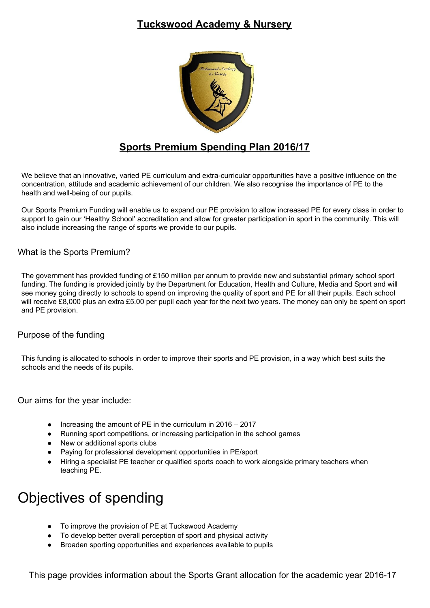## **Tuckswood Academy & Nursery**



## **Sports Premium Spending Plan 2016/17**

We believe that an innovative, varied PE curriculum and extra-curricular opportunities have a positive influence on the concentration, attitude and academic achievement of our children. We also recognise the importance of PE to the health and well-being of our pupils.

Our Sports Premium Funding will enable us to expand our PE provision to allow increased PE for every class in order to support to gain our 'Healthy School' accreditation and allow for greater participation in sport in the community. This will also include increasing the range of sports we provide to our pupils.

#### What is the Sports Premium?

The government has provided funding of £150 million per annum to provide new and substantial primary school sport funding. The funding is provided jointly by the Department for Education, Health and Culture, Media and Sport and will see money going directly to schools to spend on improving the quality of sport and PE for all their pupils. Each school will receive £8,000 plus an extra £5.00 per pupil each year for the next two years. The money can only be spent on sport and PE provision.

#### Purpose of the funding

This funding is allocated to schools in order to improve their sports and PE provision, in a way which best suits the schools and the needs of its pupils.

Our aims for the year include:

- Increasing the amount of PE in the curriculum in  $2016 2017$
- Running sport competitions, or increasing participation in the school games
- New or additional sports clubs
- Paying for professional development opportunities in PE/sport
- Hiring a specialist PE teacher or qualified sports coach to work alongside primary teachers when teaching PE.

# Objectives of spending

- To improve the provision of PE at Tuckswood Academy
- To develop better overall perception of sport and physical activity
- Broaden sporting opportunities and experiences available to pupils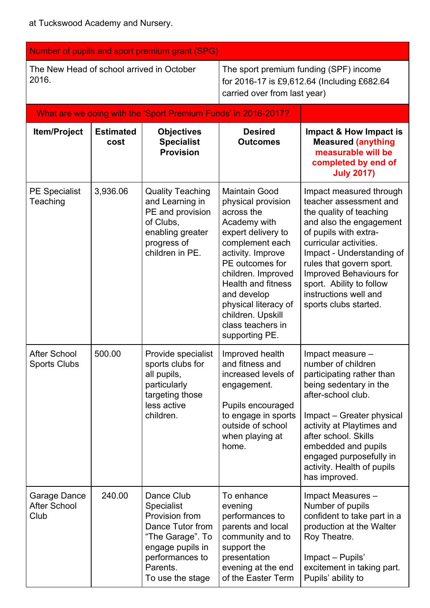| Number of pupils and sport premium grant (SPG)     |                          |                                                                                                                                                                  |                                                                                                                                                                                                                                                                                                                 |                                                                                                                                                                                                                                                                                                                              |  |  |  |
|----------------------------------------------------|--------------------------|------------------------------------------------------------------------------------------------------------------------------------------------------------------|-----------------------------------------------------------------------------------------------------------------------------------------------------------------------------------------------------------------------------------------------------------------------------------------------------------------|------------------------------------------------------------------------------------------------------------------------------------------------------------------------------------------------------------------------------------------------------------------------------------------------------------------------------|--|--|--|
| The New Head of school arrived in October<br>2016. |                          |                                                                                                                                                                  | The sport premium funding (SPF) income<br>for 2016-17 is £9,612.64 (Including £682.64<br>carried over from last year)                                                                                                                                                                                           |                                                                                                                                                                                                                                                                                                                              |  |  |  |
|                                                    |                          | What are we doing with the 'Sport Premium Funds' in 2016-2017?                                                                                                   |                                                                                                                                                                                                                                                                                                                 |                                                                                                                                                                                                                                                                                                                              |  |  |  |
| Item/Project                                       | <b>Estimated</b><br>cost | <b>Objectives</b><br><b>Specialist</b><br><b>Provision</b>                                                                                                       | <b>Desired</b><br><b>Outcomes</b>                                                                                                                                                                                                                                                                               | Impact & How Impact is<br><b>Measured (anything</b><br>measurable will be<br>completed by end of<br><b>July 2017)</b>                                                                                                                                                                                                        |  |  |  |
| <b>PE Specialist</b><br>Teaching                   | 3,936.06                 | <b>Quality Teaching</b><br>and Learning in<br>PE and provision<br>of Clubs,<br>enabling greater<br>progress of<br>children in PE.                                | <b>Maintain Good</b><br>physical provision<br>across the<br>Academy with<br>expert delivery to<br>complement each<br>activity. Improve<br>PE outcomes for<br>children. Improved<br><b>Health and fitness</b><br>and develop<br>physical literacy of<br>children. Upskill<br>class teachers in<br>supporting PE. | Impact measured through<br>teacher assessment and<br>the quality of teaching<br>and also the engagement<br>of pupils with extra-<br>curricular activities.<br>Impact - Understanding of<br>rules that govern sport.<br>Improved Behaviours for<br>sport. Ability to follow<br>instructions well and<br>sports clubs started. |  |  |  |
| <b>After School</b><br><b>Sports Clubs</b>         | 500.00                   | Provide specialist<br>sports clubs for<br>all pupils,<br>particularly<br>targeting those<br>less active<br>children.                                             | Improved health<br>and fitness and<br>increased levels of<br>engagement.<br>Pupils encouraged<br>to engage in sports<br>outside of school<br>when playing at<br>home.                                                                                                                                           | Impact measure -<br>number of children<br>participating rather than<br>being sedentary in the<br>after-school club.<br>Impact – Greater physical<br>activity at Playtimes and<br>after school. Skills<br>embedded and pupils<br>engaged purposefully in<br>activity. Health of pupils<br>has improved.                       |  |  |  |
| Garage Dance<br><b>After School</b><br>Club        | 240.00                   | Dance Club<br><b>Specialist</b><br>Provision from<br>Dance Tutor from<br>"The Garage". To<br>engage pupils in<br>performances to<br>Parents.<br>To use the stage | To enhance<br>evening<br>performances to<br>parents and local<br>community and to<br>support the<br>presentation<br>evening at the end<br>of the Easter Term                                                                                                                                                    | Impact Measures -<br>Number of pupils<br>confident to take part in a<br>production at the Walter<br>Roy Theatre.<br>Impact - Pupils'<br>excitement in taking part.<br>Pupils' ability to                                                                                                                                     |  |  |  |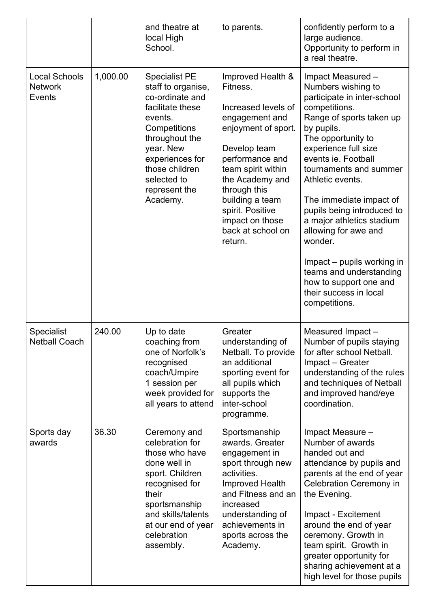|                                                  |          | and theatre at<br>local High<br>School.                                                                                                                                                                                      | to parents.                                                                                                                                                                                                                                                                         | confidently perform to a<br>large audience.<br>Opportunity to perform in<br>a real theatre.                                                                                                                                                                                                                                                                                                                                                                                                                 |
|--------------------------------------------------|----------|------------------------------------------------------------------------------------------------------------------------------------------------------------------------------------------------------------------------------|-------------------------------------------------------------------------------------------------------------------------------------------------------------------------------------------------------------------------------------------------------------------------------------|-------------------------------------------------------------------------------------------------------------------------------------------------------------------------------------------------------------------------------------------------------------------------------------------------------------------------------------------------------------------------------------------------------------------------------------------------------------------------------------------------------------|
| <b>Local Schools</b><br><b>Network</b><br>Events | 1,000.00 | <b>Specialist PE</b><br>staff to organise,<br>co-ordinate and<br>facilitate these<br>events.<br>Competitions<br>throughout the<br>year. New<br>experiences for<br>those children<br>selected to<br>represent the<br>Academy. | Improved Health &<br>Fitness.<br>Increased levels of<br>engagement and<br>enjoyment of sport.<br>Develop team<br>performance and<br>team spirit within<br>the Academy and<br>through this<br>building a team<br>spirit. Positive<br>impact on those<br>back at school on<br>return. | Impact Measured -<br>Numbers wishing to<br>participate in inter-school<br>competitions.<br>Range of sports taken up<br>by pupils.<br>The opportunity to<br>experience full size<br>events ie. Football<br>tournaments and summer<br>Athletic events.<br>The immediate impact of<br>pupils being introduced to<br>a major athletics stadium<br>allowing for awe and<br>wonder.<br>Impact – pupils working in<br>teams and understanding<br>how to support one and<br>their success in local<br>competitions. |
| <b>Specialist</b><br><b>Netball Coach</b>        | 240.00   | Up to date<br>coaching from<br>one of Norfolk's<br>recognised<br>coach/Umpire<br>1 session per<br>week provided for<br>all years to attend                                                                                   | Greater<br>understanding of<br>Netball. To provide<br>an additional<br>sporting event for<br>all pupils which<br>supports the<br>inter-school<br>programme.                                                                                                                         | Measured Impact-<br>Number of pupils staying<br>for after school Netball.<br>Impact - Greater<br>understanding of the rules<br>and techniques of Netball<br>and improved hand/eye<br>coordination.                                                                                                                                                                                                                                                                                                          |
| Sports day<br>awards                             | 36.30    | Ceremony and<br>celebration for<br>those who have<br>done well in<br>sport. Children<br>recognised for<br>their<br>sportsmanship<br>and skills/talents<br>at our end of year<br>celebration<br>assembly.                     | Sportsmanship<br>awards. Greater<br>engagement in<br>sport through new<br>activities.<br>Improved Health<br>and Fitness and an<br>increased<br>understanding of<br>achievements in<br>sports across the<br>Academy.                                                                 | Impact Measure -<br>Number of awards<br>handed out and<br>attendance by pupils and<br>parents at the end of year<br><b>Celebration Ceremony in</b><br>the Evening.<br>Impact - Excitement<br>around the end of year<br>ceremony. Growth in<br>team spirit. Growth in<br>greater opportunity for<br>sharing achievement at a<br>high level for those pupils                                                                                                                                                  |